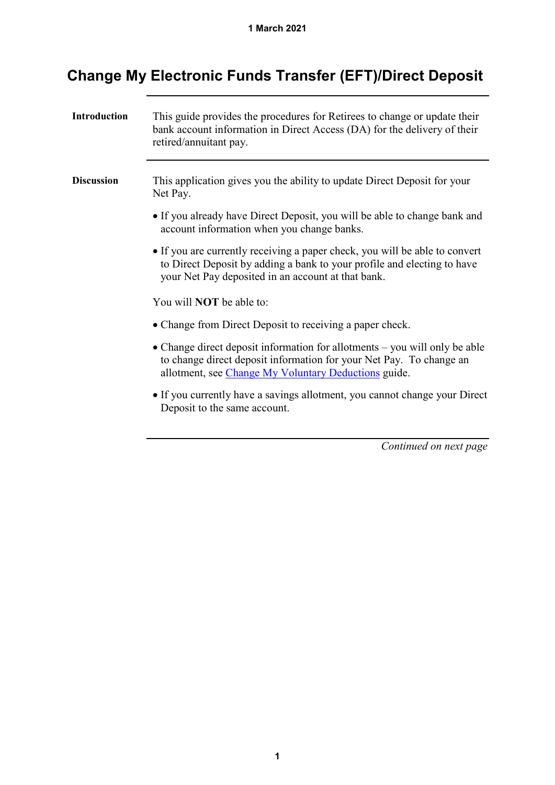| <b>Introduction</b> | This guide provides the procedures for Retirees to change or update their<br>bank account information in Direct Access (DA) for the delivery of their<br>retired/annuitant pay.                              |
|---------------------|--------------------------------------------------------------------------------------------------------------------------------------------------------------------------------------------------------------|
| <b>Discussion</b>   | This application gives you the ability to update Direct Deposit for your<br>Net Pay.                                                                                                                         |
|                     | • If you already have Direct Deposit, you will be able to change bank and<br>account information when you change banks.                                                                                      |
|                     | • If you are currently receiving a paper check, you will be able to convert<br>to Direct Deposit by adding a bank to your profile and electing to have<br>your Net Pay deposited in an account at that bank. |
|                     | You will <b>NOT</b> be able to:                                                                                                                                                                              |
|                     | • Change from Direct Deposit to receiving a paper check.                                                                                                                                                     |
|                     | • Change direct deposit information for allotments – you will only be able<br>to change direct deposit information for your Net Pay. To change an<br>allotment, see Change My Voluntary Deductions guide.    |
|                     | • If you currently have a savings allotment, you cannot change your Direct<br>Deposit to the same account.                                                                                                   |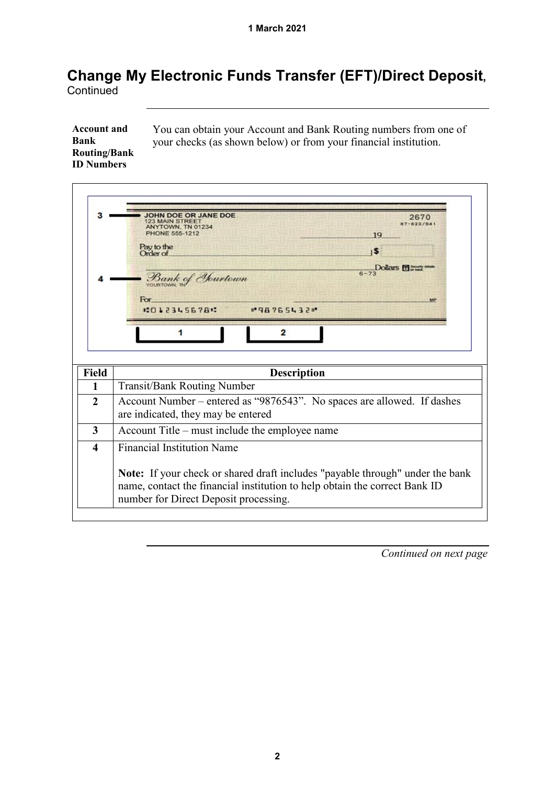**Account and Bank Routing/Bank ID Numbers**

You can obtain your Account and Bank Routing numbers from one of your checks (as shown below) or from your financial institution.

|                        | JOHN DOE OR JANE DOE<br>2670<br><b>123 MAIN STREET</b><br>ANYTOWN, TN 01234<br>PHONE 555-1212<br>19<br>Pay to the<br>5<br>Order of<br>Dollars Film<br>$6 - 73$<br>Bank of Hurtown<br>For<br>10123456781<br>#98765432#<br>2 |
|------------------------|----------------------------------------------------------------------------------------------------------------------------------------------------------------------------------------------------------------------------|
|                        |                                                                                                                                                                                                                            |
| <b>Field</b>           | <b>Description</b>                                                                                                                                                                                                         |
| 1                      | <b>Transit/Bank Routing Number</b>                                                                                                                                                                                         |
| $\mathbf{2}$           | Account Number – entered as "9876543". No spaces are allowed. If dashes<br>are indicated, they may be entered                                                                                                              |
| 3                      | Account Title – must include the employee name                                                                                                                                                                             |
| $\boldsymbol{\Lambda}$ | <b>Financial Institution Name</b>                                                                                                                                                                                          |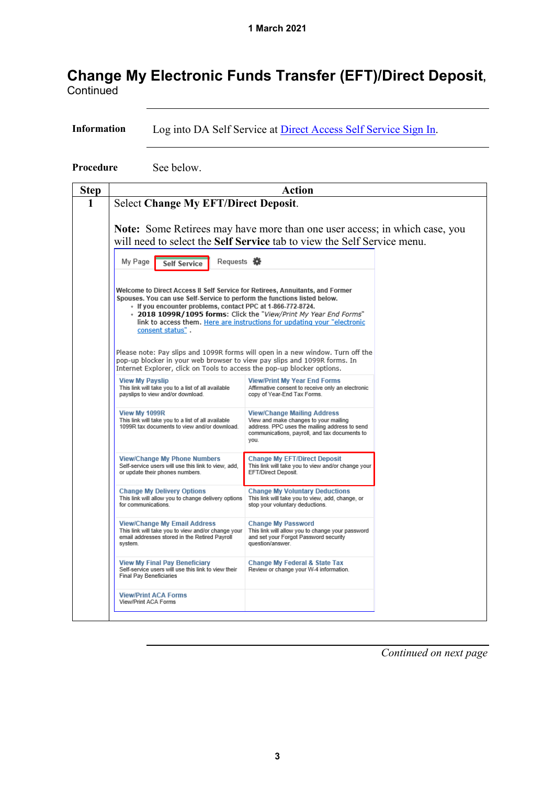**Information** Log into DA Self Service at [Direct Access Self](https://hcm.direct-access.uscg.mil/) Service Sign In.

**Procedure** See below.

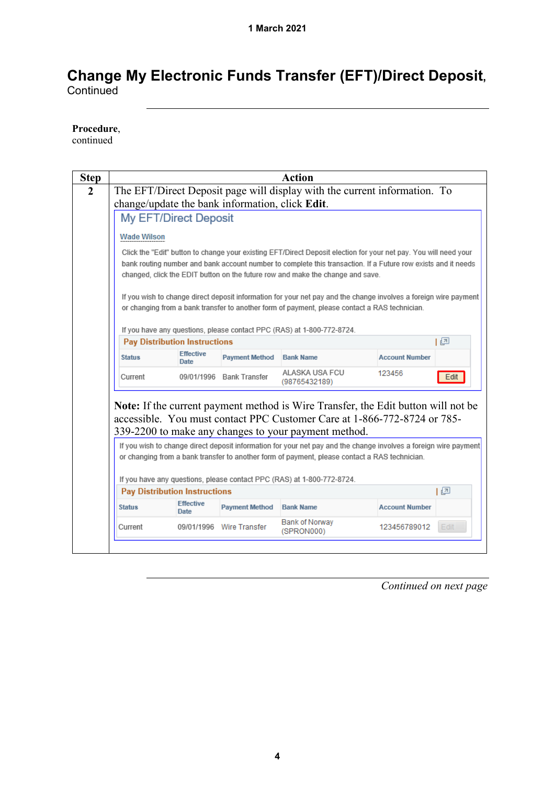#### **Procedure**,

continued

| <b>Step</b> |                                                                                                                  |                                                                                               |                                                                                                                  | Action                                                                                                           |                       |      |  |  |
|-------------|------------------------------------------------------------------------------------------------------------------|-----------------------------------------------------------------------------------------------|------------------------------------------------------------------------------------------------------------------|------------------------------------------------------------------------------------------------------------------|-----------------------|------|--|--|
|             |                                                                                                                  |                                                                                               |                                                                                                                  | The EFT/Direct Deposit page will display with the current information. To                                        |                       |      |  |  |
|             | change/update the bank information, click Edit.                                                                  |                                                                                               |                                                                                                                  |                                                                                                                  |                       |      |  |  |
|             |                                                                                                                  | My EFT/Direct Deposit                                                                         |                                                                                                                  |                                                                                                                  |                       |      |  |  |
|             | <b>Wade Wilson</b>                                                                                               |                                                                                               |                                                                                                                  |                                                                                                                  |                       |      |  |  |
|             | Click the "Edit" button to change your existing EFT/Direct Deposit election for your net pay. You will need your |                                                                                               |                                                                                                                  |                                                                                                                  |                       |      |  |  |
|             | bank routing number and bank account number to complete this transaction. If a Future row exists and it needs    |                                                                                               |                                                                                                                  |                                                                                                                  |                       |      |  |  |
|             |                                                                                                                  |                                                                                               |                                                                                                                  | changed, click the EDIT button on the future row and make the change and save.                                   |                       |      |  |  |
|             |                                                                                                                  |                                                                                               |                                                                                                                  | If you wish to change direct deposit information for your net pay and the change involves a foreign wire payment |                       |      |  |  |
|             |                                                                                                                  |                                                                                               |                                                                                                                  | or changing from a bank transfer to another form of payment, please contact a RAS technician.                    |                       |      |  |  |
|             |                                                                                                                  |                                                                                               |                                                                                                                  |                                                                                                                  |                       |      |  |  |
|             |                                                                                                                  |                                                                                               |                                                                                                                  | If you have any questions, please contact PPC (RAS) at 1-800-772-8724.                                           |                       |      |  |  |
|             |                                                                                                                  | <b>Pay Distribution Instructions</b>                                                          |                                                                                                                  |                                                                                                                  |                       | 上回   |  |  |
|             | <b>Status</b>                                                                                                    | <b>Effective</b><br>Date                                                                      | <b>Payment Method</b>                                                                                            | <b>Bank Name</b>                                                                                                 | <b>Account Number</b> |      |  |  |
|             | Current                                                                                                          |                                                                                               | 09/01/1996 Bank Transfer                                                                                         | ALASKA USA FCU<br>(98765432189)                                                                                  | 123456                | Edit |  |  |
|             |                                                                                                                  |                                                                                               |                                                                                                                  | <b>Note:</b> If the current payment method is Wire Transfer, the Edit button will not be                         |                       |      |  |  |
|             |                                                                                                                  |                                                                                               |                                                                                                                  | accessible. You must contact PPC Customer Care at 1-866-772-8724 or 785-                                         |                       |      |  |  |
|             |                                                                                                                  |                                                                                               |                                                                                                                  | 339-2200 to make any changes to your payment method.                                                             |                       |      |  |  |
|             |                                                                                                                  |                                                                                               | If you wish to change direct deposit information for your net pay and the change involves a foreign wire payment |                                                                                                                  |                       |      |  |  |
|             |                                                                                                                  | or changing from a bank transfer to another form of payment, please contact a RAS technician. |                                                                                                                  |                                                                                                                  |                       |      |  |  |
|             |                                                                                                                  |                                                                                               |                                                                                                                  |                                                                                                                  |                       |      |  |  |
|             |                                                                                                                  |                                                                                               |                                                                                                                  |                                                                                                                  |                       |      |  |  |
|             |                                                                                                                  |                                                                                               |                                                                                                                  | If you have any questions, please contact PPC (RAS) at 1-800-772-8724.                                           |                       |      |  |  |
|             |                                                                                                                  | <b>Pay Distribution Instructions</b>                                                          |                                                                                                                  |                                                                                                                  |                       | 下回   |  |  |
|             | <b>Status</b>                                                                                                    | <b>Effective</b><br><b>Date</b>                                                               | <b>Payment Method</b>                                                                                            | <b>Bank Name</b><br><b>Bank of Norway</b>                                                                        | <b>Account Number</b> |      |  |  |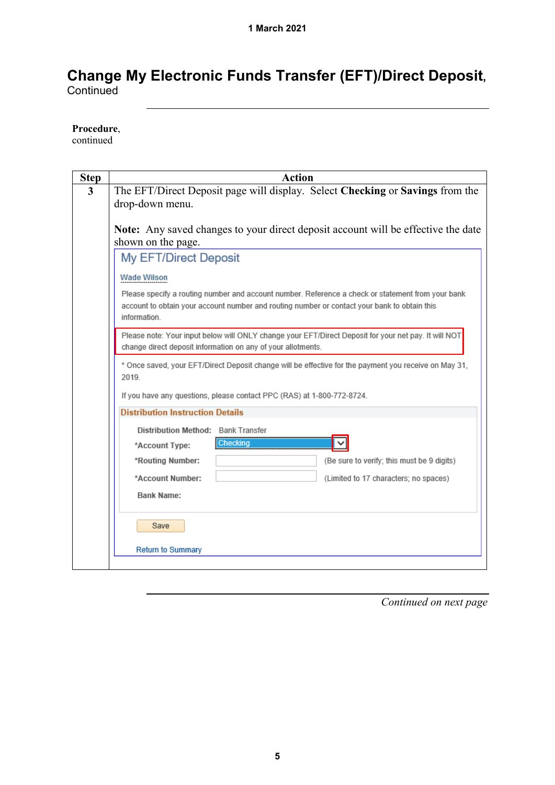#### **Procedure**,

continued

| <b>Step</b>             | <b>Action</b>                                                                                                                                                                                                     |
|-------------------------|-------------------------------------------------------------------------------------------------------------------------------------------------------------------------------------------------------------------|
| $\overline{\mathbf{3}}$ | The EFT/Direct Deposit page will display. Select Checking or Savings from the                                                                                                                                     |
|                         | drop-down menu.                                                                                                                                                                                                   |
|                         |                                                                                                                                                                                                                   |
|                         | <b>Note:</b> Any saved changes to your direct deposit account will be effective the date<br>shown on the page.                                                                                                    |
|                         | My EFT/Direct Deposit                                                                                                                                                                                             |
|                         | <b>Wade Wilson</b>                                                                                                                                                                                                |
|                         | Please specify a routing number and account number. Reference a check or statement from your bank<br>account to obtain your account number and routing number or contact your bank to obtain this<br>information. |
|                         | Please note: Your input below will ONLY change your EFT/Direct Deposit for your net pay. It will NOT<br>change direct deposit information on any of your allotments.                                              |
|                         | * Once saved, your EFT/Direct Deposit change will be effective for the payment you receive on May 31,<br>2019                                                                                                     |
|                         | If you have any questions, please contact PPC (RAS) at 1-800-772-8724.                                                                                                                                            |
|                         | <b>Distribution Instruction Details</b>                                                                                                                                                                           |
|                         | Distribution Method: Bank Transfer                                                                                                                                                                                |
|                         | <b>Checking</b><br>*Account Type:                                                                                                                                                                                 |
|                         | *Routing Number:<br>(Be sure to verify; this must be 9 digits)                                                                                                                                                    |
|                         | *Account Number:<br>(Limited to 17 characters; no spaces)                                                                                                                                                         |
|                         | Bank Name:                                                                                                                                                                                                        |
|                         | Save                                                                                                                                                                                                              |
|                         | <b>Return to Summary</b>                                                                                                                                                                                          |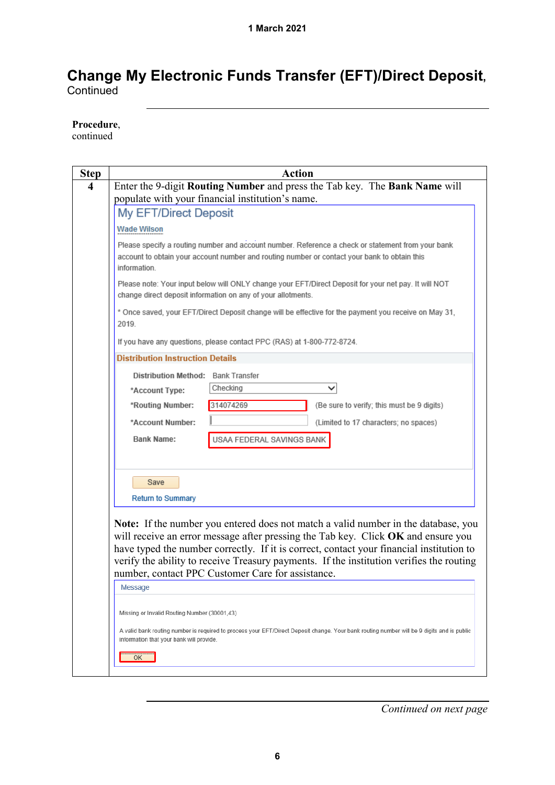**Procedure**,

continued

| <b>Action</b>                                                                                                                                                                                                     |
|-------------------------------------------------------------------------------------------------------------------------------------------------------------------------------------------------------------------|
| Enter the 9-digit Routing Number and press the Tab key. The Bank Name will                                                                                                                                        |
| populate with your financial institution's name.                                                                                                                                                                  |
| My EFT/Direct Deposit                                                                                                                                                                                             |
| <b>Wade Wilson</b>                                                                                                                                                                                                |
| Please specify a routing number and account number. Reference a check or statement from your bank<br>account to obtain your account number and routing number or contact your bank to obtain this<br>information. |
| Please note: Your input below will ONLY change your EFT/Direct Deposit for your net pay. It will NOT<br>change direct deposit information on any of your allotments.                                              |
| * Once saved, your EFT/Direct Deposit change will be effective for the payment you receive on May 31,<br>2019                                                                                                     |
| If you have any questions, please contact PPC (RAS) at 1-800-772-8724.                                                                                                                                            |
| <b>Distribution Instruction Details</b>                                                                                                                                                                           |
| Distribution Method: Bank Transfer                                                                                                                                                                                |
| Checking<br>*Account Type:                                                                                                                                                                                        |
| 314074269<br>*Routing Number:<br>(Be sure to verify; this must be 9 digits)                                                                                                                                       |
| *Account Number:<br>(Limited to 17 characters; no spaces)                                                                                                                                                         |
| <b>Bank Name:</b><br>USAA FEDERAL SAVINGS BANK                                                                                                                                                                    |
|                                                                                                                                                                                                                   |
| Save                                                                                                                                                                                                              |
| <b>Return to Summary</b>                                                                                                                                                                                          |
|                                                                                                                                                                                                                   |
| Note: If the number you entered does not match a valid number in the database, you                                                                                                                                |
| will receive an error message after pressing the Tab key. Click OK and ensure you                                                                                                                                 |
| have typed the number correctly. If it is correct, contact your financial institution to<br>verify the ability to receive Treasury payments. If the institution verifies the routing                              |
| number, contact PPC Customer Care for assistance.                                                                                                                                                                 |
| Message                                                                                                                                                                                                           |
|                                                                                                                                                                                                                   |
| Missing or Invalid Routing Number (30001,43)                                                                                                                                                                      |
| A valid bank routing number is required to process your EFT/Direct Deposit change. Your bank routing number will be 9 digits and is public                                                                        |
| information that your bank will provide.                                                                                                                                                                          |
| ОК                                                                                                                                                                                                                |
|                                                                                                                                                                                                                   |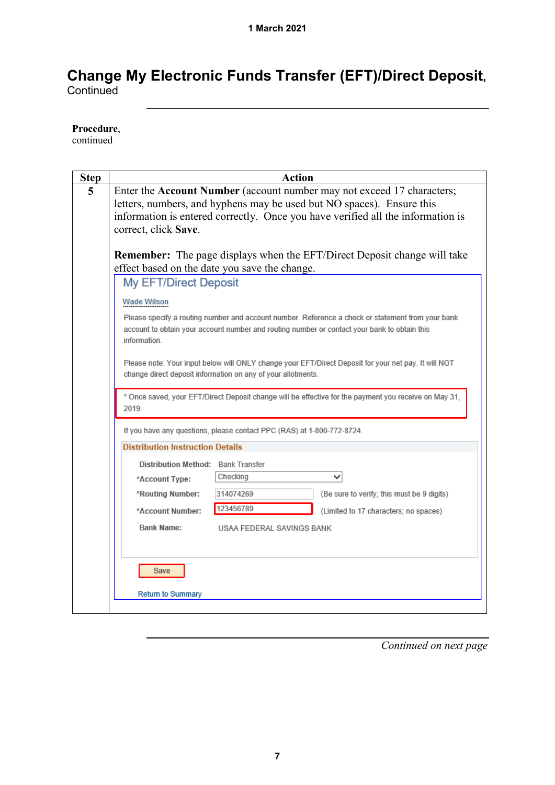#### **Procedure**,

continued

| <b>Step</b> | <b>Action</b>                                                                                                                                                                                                                                              |
|-------------|------------------------------------------------------------------------------------------------------------------------------------------------------------------------------------------------------------------------------------------------------------|
| 5           | Enter the Account Number (account number may not exceed 17 characters;<br>letters, numbers, and hyphens may be used but NO spaces). Ensure this<br>information is entered correctly. Once you have verified all the information is<br>correct, click Save. |
|             | <b>Remember:</b> The page displays when the EFT/Direct Deposit change will take<br>effect based on the date you save the change.                                                                                                                           |
|             | My EFT/Direct Deposit                                                                                                                                                                                                                                      |
|             | <b>Wade Wilson</b>                                                                                                                                                                                                                                         |
|             | Please specify a routing number and account number. Reference a check or statement from your bank<br>account to obtain your account number and routing number or contact your bank to obtain this<br>information.                                          |
|             | Please note: Your input below will ONLY change your EFT/Direct Deposit for your net pay. It will NOT<br>change direct deposit information on any of your allotments.                                                                                       |
|             | * Once saved, your EFT/Direct Deposit change will be effective for the payment you receive on May 31,<br>2019.                                                                                                                                             |
|             | If you have any questions, please contact PPC (RAS) at 1-800-772-8724.                                                                                                                                                                                     |
|             | <b>Distribution Instruction Details</b>                                                                                                                                                                                                                    |
|             | Distribution Method: Bank Transfer                                                                                                                                                                                                                         |
|             | Checking<br>*Account Type:                                                                                                                                                                                                                                 |
|             | (Be sure to verify; this must be 9 digits)<br>*Routing Number:<br>314074269                                                                                                                                                                                |
|             | 123456789<br>*Account Number:<br>(Limited to 17 characters; no spaces)                                                                                                                                                                                     |
|             | <b>Bank Name:</b><br>USAA FEDERAL SAVINGS BANK                                                                                                                                                                                                             |
|             | Save                                                                                                                                                                                                                                                       |
|             | <b>Return to Summary</b>                                                                                                                                                                                                                                   |